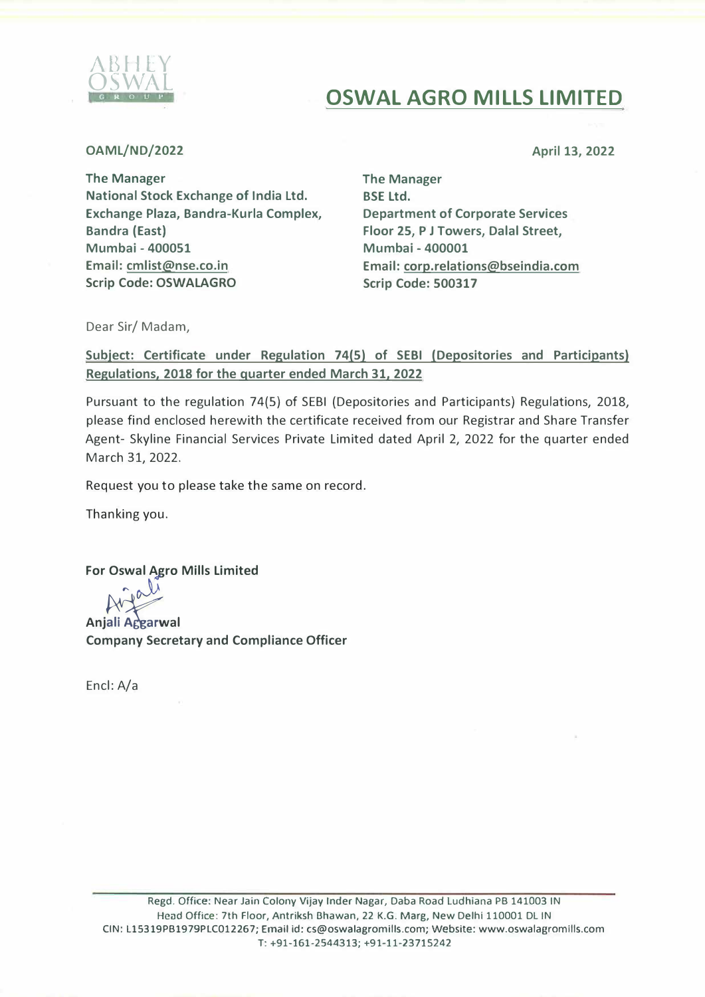

## **OSWAL AGRO MILLS LIMITED**

**OAML/ND/2022** 

April 13, 2022

The Manager National Stock Exchange of India Ltd. Exchange Plaza, Bandra-Kurla Complex, Bandra (East) Mumbai - 400051 Email: cmlist@nse.co.in Scrip Code: **OSWALAGRO** 

The Manager BSE Ltd. **Department of Corporate Services Floor 25, P J Towers, Dalal Street, Mumbai - 400001 Email: corp.relations@bseindia.com Scrip Code: 500317** 

Dear Sir/ Madam,

**Subject: Certificate under Regulation 74(5) of SEBI (Depositories and Participants) Regulations, 2018 for the quarter ended March 31, 2022** 

Pursuant to the regulation 74(5) of SEBI (Depositories and Participants) Regulations, 2018, please find enclosed herewith the certificate received from our Registrar and Share Transfer Agent- Skyline Financial Services Private Limited dated April 2, 2022 for the quarter ended March 31, 2022.

Request you to please take the same on record.

Thanking you.

**For Oswal Agro Mills Limited** 

 $\rightarrow \infty$ 

**Anjali Accarwal Company Secretary and Compliance Officer** 

Encl: A/a